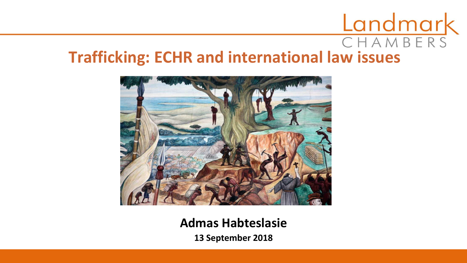# CHAMBERS **Trafficking: ECHR and international law issues**



#### **Admas Habteslasie**

**13 September 2018**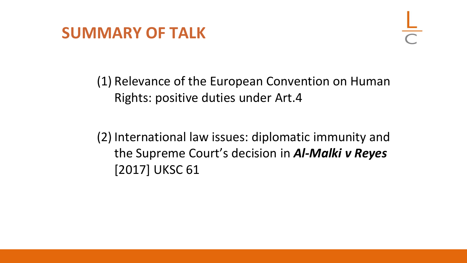

(1) Relevance of the European Convention on Human Rights: positive duties under Art.4

(2) International law issues: diplomatic immunity and the Supreme Court's decision in *Al-Malki v Reyes*  [2017] UKSC 61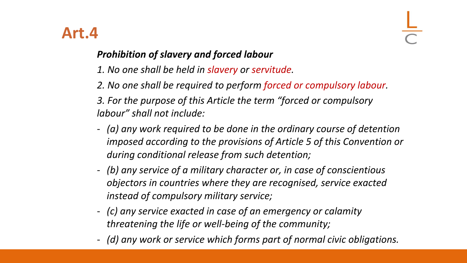#### **Art.4**

#### *Prohibition of slavery and forced labour*

- *1. No one shall be held in slavery or servitude.*
- *2. No one shall be required to perform forced or compulsory labour. 3. For the purpose of this Article the term "forced or compulsory labour" shall not include:*
- *(a) any work required to be done in the ordinary course of detention imposed according to the provisions of Article 5 of this Convention or during conditional release from such detention;*
- *(b) any service of a military character or, in case of conscientious objectors in countries where they are recognised, service exacted instead of compulsory military service;*
- *(c) any service exacted in case of an emergency or calamity threatening the life or well-being of the community;*
- *(d) any work or service which forms part of normal civic obligations.*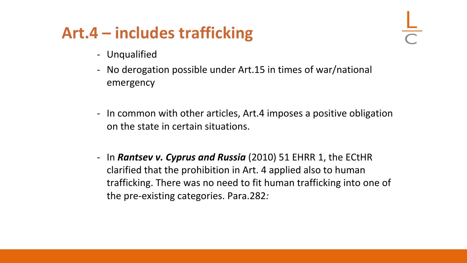### **Art.4 – includes trafficking**

- Unqualified
- No derogation possible under Art.15 in times of war/national emergency
- In common with other articles, Art.4 imposes a positive obligation on the state in certain situations.
- In *Rantsev v. Cyprus and Russia* (2010) 51 EHRR 1, the ECtHR clarified that the prohibition in Art. 4 applied also to human trafficking. There was no need to fit human trafficking into one of the pre-existing categories. Para.282*:*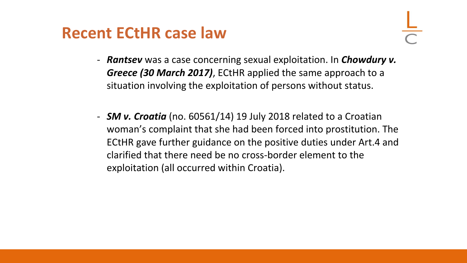#### **Recent ECtHR case law**

- *Rantsev* was a case concerning sexual exploitation. In *Chowdury v. Greece (30 March 2017)*, ECtHR applied the same approach to a situation involving the exploitation of persons without status.
- *SM v. Croatia* (no. 60561/14) 19 July 2018 related to a Croatian woman's complaint that she had been forced into prostitution. The ECtHR gave further guidance on the positive duties under Art.4 and clarified that there need be no cross-border element to the exploitation (all occurred within Croatia).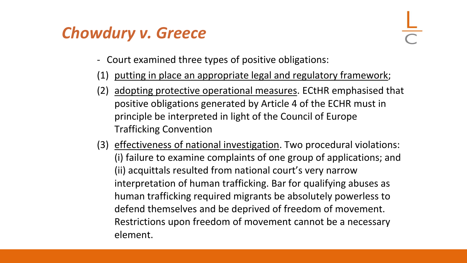## *Chowdury v. Greece*

- Court examined three types of positive obligations:
- (1) putting in place an appropriate legal and regulatory framework;
- (2) adopting protective operational measures. ECtHR emphasised that positive obligations generated by Article 4 of the ECHR must in principle be interpreted in light of the Council of Europe Trafficking Convention
- (3) effectiveness of national investigation. Two procedural violations: (i) failure to examine complaints of one group of applications; and (ii) acquittals resulted from national court's very narrow interpretation of human trafficking. Bar for qualifying abuses as human trafficking required migrants be absolutely powerless to defend themselves and be deprived of freedom of movement. Restrictions upon freedom of movement cannot be a necessary element.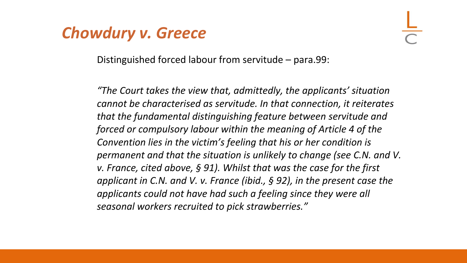#### *Chowdury v. Greece*

Distinguished forced labour from servitude – para.99:

*"The Court takes the view that, admittedly, the applicants' situation cannot be characterised as servitude. In that connection, it reiterates that the fundamental distinguishing feature between servitude and forced or compulsory labour within the meaning of Article 4 of the Convention lies in the victim's feeling that his or her condition is permanent and that the situation is unlikely to change (see C.N. and V. v. France, cited above, § 91). Whilst that was the case for the first applicant in C.N. and V. v. France (ibid., § 92), in the present case the applicants could not have had such a feeling since they were all seasonal workers recruited to pick strawberries."*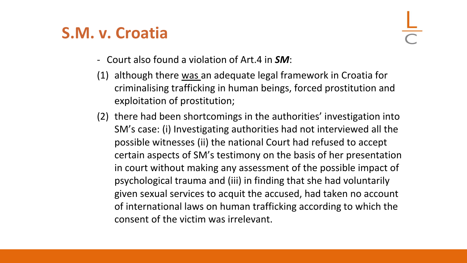#### **S.M. v. Croatia**

- Court also found a violation of Art.4 in *SM*:
- (1) although there was an adequate legal framework in Croatia for criminalising trafficking in human beings, forced prostitution and exploitation of prostitution;
- (2) there had been shortcomings in the authorities' investigation into SM's case: (i) Investigating authorities had not interviewed all the possible witnesses (ii) the national Court had refused to accept certain aspects of SM's testimony on the basis of her presentation in court without making any assessment of the possible impact of psychological trauma and (iii) in finding that she had voluntarily given sexual services to acquit the accused, had taken no account of international laws on human trafficking according to which the consent of the victim was irrelevant.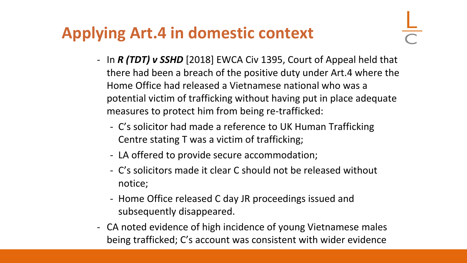# **Applying Art.4 in domestic context**

- In *R (TDT) v SSHD* [2018] EWCA Civ 1395, Court of Appeal held that there had been a breach of the positive duty under Art.4 where the Home Office had released a Vietnamese national who was a potential victim of trafficking without having put in place adequate measures to protect him from being re-trafficked:
	- C's solicitor had made a reference to UK Human Trafficking Centre stating T was a victim of trafficking;
	- LA offered to provide secure accommodation;
	- C's solicitors made it clear C should not be released without notice;
	- Home Office released C day JR proceedings issued and subsequently disappeared.
- CA noted evidence of high incidence of young Vietnamese males being trafficked; C's account was consistent with wider evidence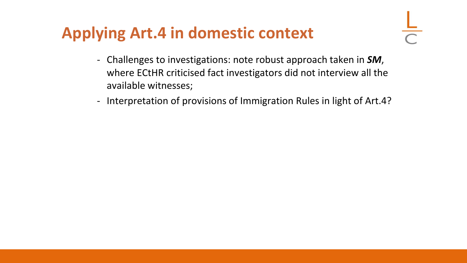## **Applying Art.4 in domestic context**

- Challenges to investigations: note robust approach taken in *SM*, where ECtHR criticised fact investigators did not interview all the available witnesses;
- Interpretation of provisions of Immigration Rules in light of Art.4?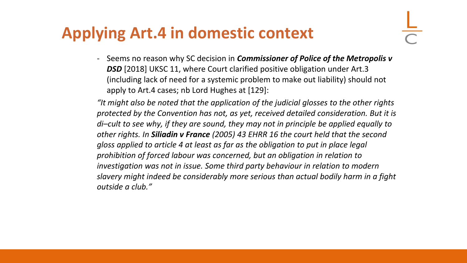### **Applying Art.4 in domestic context**

- Seems no reason why SC decision in *Commissioner of Police of the Metropolis v*  **DSD** [2018] UKSC 11, where Court clarified positive obligation under Art.3 (including lack of need for a systemic problem to make out liability) should not apply to Art.4 cases; nb Lord Hughes at [129]:

*"It might also be noted that the application of the judicial glosses to the other rights protected by the Convention has not, as yet, received detailed consideration. But it is di–cult to see why, if they are sound, they may not in principle be applied equally to other rights. In Siliadin v France (2005) 43 EHRR 16 the court held that the second gloss applied to article 4 at least as far as the obligation to put in place legal prohibition of forced labour was concerned, but an obligation in relation to investigation was not in issue. Some third party behaviour in relation to modern slavery might indeed be considerably more serious than actual bodily harm in a fight outside a club."*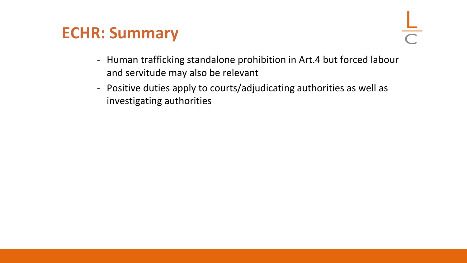#### **ECHR: Summary**

- Human trafficking standalone prohibition in Art.4 but forced labour and servitude may also be relevant
- Positive duties apply to courts/adjudicating authorities as well as investigating authorities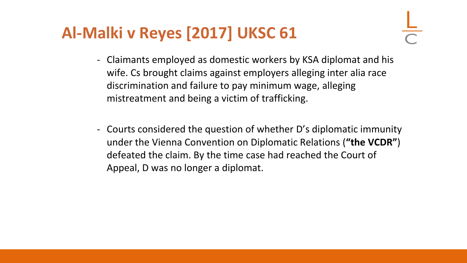- Claimants employed as domestic workers by KSA diplomat and his wife. Cs brought claims against employers alleging inter alia race discrimination and failure to pay minimum wage, alleging mistreatment and being a victim of trafficking.
- Courts considered the question of whether D's diplomatic immunity under the Vienna Convention on Diplomatic Relations (**"the VCDR"**) defeated the claim. By the time case had reached the Court of Appeal, D was no longer a diplomat.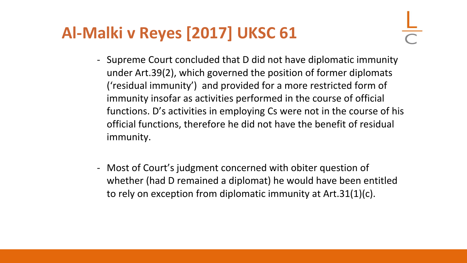- Supreme Court concluded that D did not have diplomatic immunity under Art.39(2), which governed the position of former diplomats ('residual immunity') and provided for a more restricted form of immunity insofar as activities performed in the course of official functions. D's activities in employing Cs were not in the course of his official functions, therefore he did not have the benefit of residual immunity.
- Most of Court's judgment concerned with obiter question of whether (had D remained a diplomat) he would have been entitled to rely on exception from diplomatic immunity at Art.31(1)(c).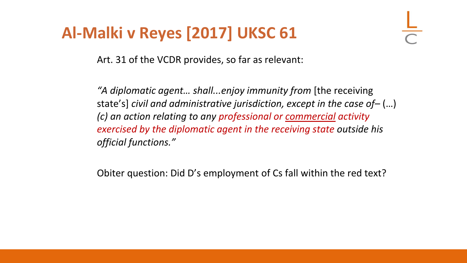Art. 31 of the VCDR provides, so far as relevant:

*"A diplomatic agent… shall...enjoy immunity from* [the receiving state's] *civil and administrative jurisdiction, except in the case of–* (…) *(c) an action relating to any professional or commercial activity exercised by the diplomatic agent in the receiving state outside his official functions."*

Obiter question: Did D's employment of Cs fall within the red text?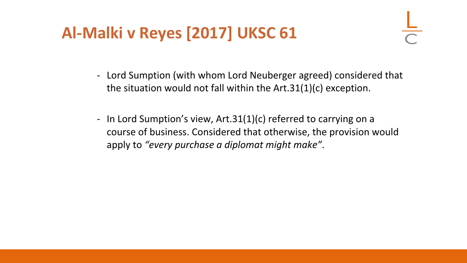- Lord Sumption (with whom Lord Neuberger agreed) considered that the situation would not fall within the Art.31(1)(c) exception.
- In Lord Sumption's view, Art.31(1)(c) referred to carrying on a course of business. Considered that otherwise, the provision would apply to *"every purchase a diplomat might make"*.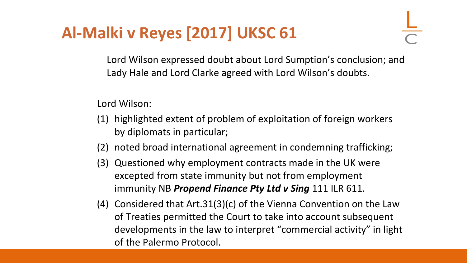Lord Wilson expressed doubt about Lord Sumption's conclusion; and Lady Hale and Lord Clarke agreed with Lord Wilson's doubts.

Lord Wilson:

- (1) highlighted extent of problem of exploitation of foreign workers by diplomats in particular;
- (2) noted broad international agreement in condemning trafficking;
- (3) Questioned why employment contracts made in the UK were excepted from state immunity but not from employment immunity NB *Propend Finance Pty Ltd v Sing* 111 ILR 611.
- (4) Considered that Art.31(3)(c) of the Vienna Convention on the Law of Treaties permitted the Court to take into account subsequent developments in the law to interpret "commercial activity" in light of the Palermo Protocol.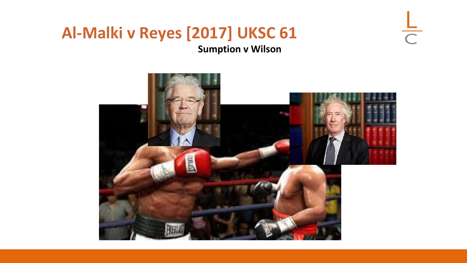#### **Al-Malki v Reyes [2017] UKSC 61 Sumption v Wilson**



 $\frac{L}{C}$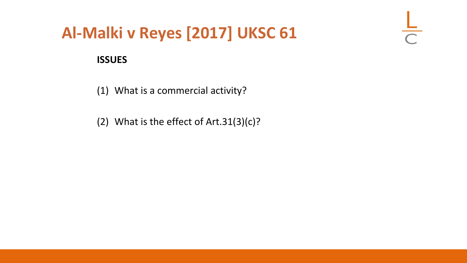$\frac{\mathsf{L}}{\mathsf{L}}$ 

#### **ISSUES**

(1) What is a commercial activity?

(2) What is the effect of Art.31(3)(c)?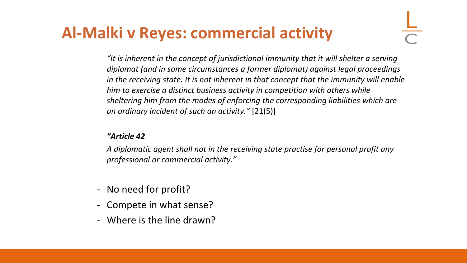#### **Al-Malki v Reyes: commercial activity**

*"It is inherent in the concept of jurisdictional immunity that it will shelter a serving diplomat (and in some circumstances a former diplomat) against legal proceedings in the receiving state. It is not inherent in that concept that the immunity will enable him to exercise a distinct business activity in competition with others while sheltering him from the modes of enforcing the corresponding liabilities which are an ordinary incident of such an activity."* [21(5)]

#### *"Article 42*

*A diplomatic agent shall not in the receiving state practise for personal profit any professional or commercial activity."*

- No need for profit?
- Compete in what sense?
- Where is the line drawn?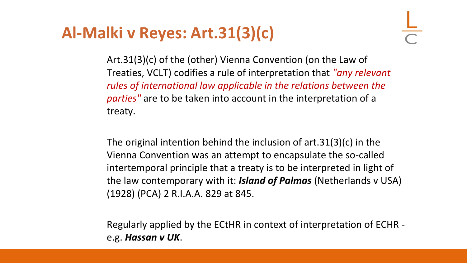Art.31(3)(c) of the (other) Vienna Convention (on the Law of Treaties, VCLT) codifies a rule of interpretation that *"any relevant rules of international law applicable in the relations between the parties"* are to be taken into account in the interpretation of a treaty.

The original intention behind the inclusion of art.31(3)(c) in the Vienna Convention was an attempt to encapsulate the so-called intertemporal principle that a treaty is to be interpreted in light of the law contemporary with it: *Island of Palmas* (Netherlands v USA) (1928) (PCA) 2 R.I.A.A. 829 at 845.

Regularly applied by the ECtHR in context of interpretation of ECHR e.g. *Hassan v UK*.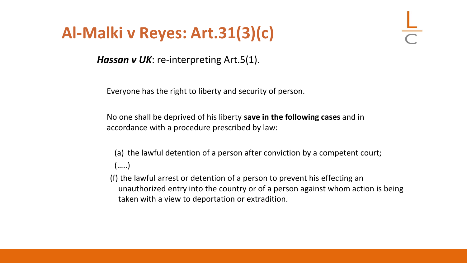*Hassan v UK*: re-interpreting Art.5(1).

Everyone has the right to liberty and security of person.

No one shall be deprived of his liberty **save in the following cases** and in accordance with a procedure prescribed by law:

(a) the lawful detention of a person after conviction by a competent court; (…..)

(f) the lawful arrest or detention of a person to prevent his effecting an unauthorized entry into the country or of a person against whom action is being taken with a view to deportation or extradition.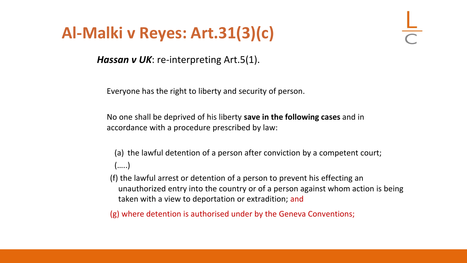*Hassan v UK*: re-interpreting Art.5(1).

Everyone has the right to liberty and security of person.

No one shall be deprived of his liberty **save in the following cases** and in accordance with a procedure prescribed by law:

(a) the lawful detention of a person after conviction by a competent court; (…..)

(f) the lawful arrest or detention of a person to prevent his effecting an unauthorized entry into the country or of a person against whom action is being taken with a view to deportation or extradition; and

(g) where detention is authorised under by the Geneva Conventions;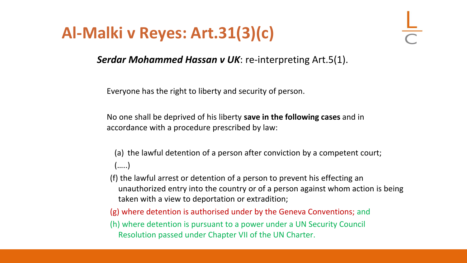*Serdar Mohammed Hassan v UK*: re-interpreting Art.5(1).

Everyone has the right to liberty and security of person.

No one shall be deprived of his liberty **save in the following cases** and in accordance with a procedure prescribed by law:

(a) the lawful detention of a person after conviction by a competent court; (…..)

(f) the lawful arrest or detention of a person to prevent his effecting an unauthorized entry into the country or of a person against whom action is being taken with a view to deportation or extradition;

(g) where detention is authorised under by the Geneva Conventions; and

(h) where detention is pursuant to a power under a UN Security Council Resolution passed under Chapter VII of the UN Charter.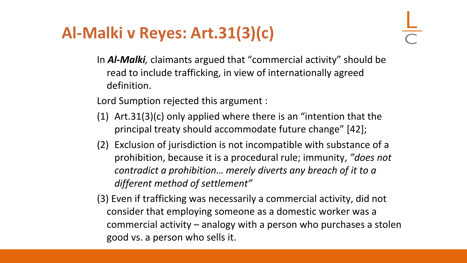In *Al-Malki,* claimants argued that "commercial activity" should be read to include trafficking, in view of internationally agreed definition.

Lord Sumption rejected this argument :

- (1) Art.31(3)(c) only applied where there is an "intention that the principal treaty should accommodate future change" [42];
- (2) Exclusion of jurisdiction is not incompatible with substance of a prohibition, because it is a procedural rule; immunity, *"does not contradict a prohibition… merely diverts any breach of it to a different method of settlement"*
- (3) Even if trafficking was necessarily a commercial activity, did not consider that employing someone as a domestic worker was a commercial activity – analogy with a person who purchases a stolen good vs. a person who sells it.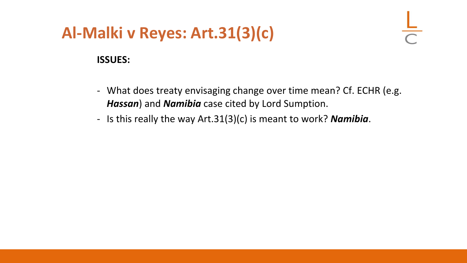#### **ISSUES:**

- What does treaty envisaging change over time mean? Cf. ECHR (e.g. *Hassan*) and *Namibia* case cited by Lord Sumption.
- Is this really the way Art.31(3)(c) is meant to work? *Namibia*.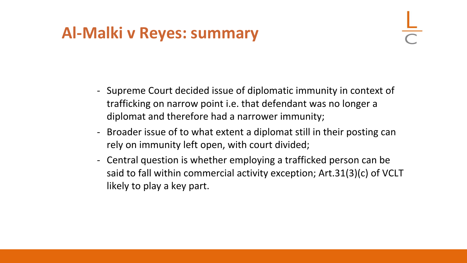#### **Al-Malki v Reyes: summary**

- Supreme Court decided issue of diplomatic immunity in context of trafficking on narrow point i.e. that defendant was no longer a diplomat and therefore had a narrower immunity;
- Broader issue of to what extent a diplomat still in their posting can rely on immunity left open, with court divided;
- Central question is whether employing a trafficked person can be said to fall within commercial activity exception; Art.31(3)(c) of VCLT likely to play a key part.